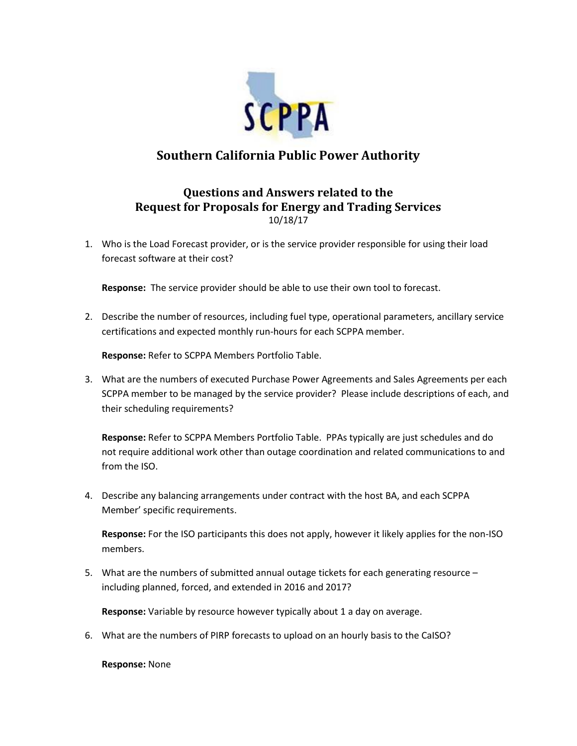

## **Southern California Public Power Authority**

## **Questions and Answers related to the Request for Proposals for Energy and Trading Services** 10/18/17

1. Who is the Load Forecast provider, or is the service provider responsible for using their load forecast software at their cost?

**Response:** The service provider should be able to use their own tool to forecast.

2. Describe the number of resources, including fuel type, operational parameters, ancillary service certifications and expected monthly run-hours for each SCPPA member.

**Response:** Refer to SCPPA Members Portfolio Table.

3. What are the numbers of executed Purchase Power Agreements and Sales Agreements per each SCPPA member to be managed by the service provider? Please include descriptions of each, and their scheduling requirements?

**Response:** Refer to SCPPA Members Portfolio Table. PPAs typically are just schedules and do not require additional work other than outage coordination and related communications to and from the ISO.

4. Describe any balancing arrangements under contract with the host BA, and each SCPPA Member' specific requirements.

**Response:** For the ISO participants this does not apply, however it likely applies for the non-ISO members.

5. What are the numbers of submitted annual outage tickets for each generating resource – including planned, forced, and extended in 2016 and 2017?

**Response:** Variable by resource however typically about 1 a day on average.

6. What are the numbers of PIRP forecasts to upload on an hourly basis to the CaISO?

**Response:** None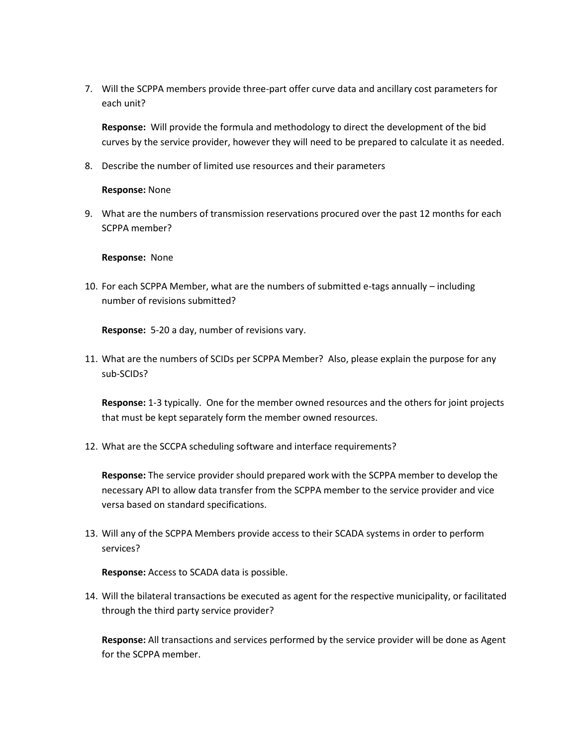7. Will the SCPPA members provide three-part offer curve data and ancillary cost parameters for each unit?

**Response:** Will provide the formula and methodology to direct the development of the bid curves by the service provider, however they will need to be prepared to calculate it as needed.

8. Describe the number of limited use resources and their parameters

**Response:** None

9. What are the numbers of transmission reservations procured over the past 12 months for each SCPPA member?

**Response:** None

10. For each SCPPA Member, what are the numbers of submitted e-tags annually – including number of revisions submitted?

**Response:** 5-20 a day, number of revisions vary.

11. What are the numbers of SCIDs per SCPPA Member? Also, please explain the purpose for any sub-SCIDs?

**Response:** 1-3 typically. One for the member owned resources and the others for joint projects that must be kept separately form the member owned resources.

12. What are the SCCPA scheduling software and interface requirements?

**Response:** The service provider should prepared work with the SCPPA member to develop the necessary API to allow data transfer from the SCPPA member to the service provider and vice versa based on standard specifications.

13. Will any of the SCPPA Members provide access to their SCADA systems in order to perform services?

**Response:** Access to SCADA data is possible.

14. Will the bilateral transactions be executed as agent for the respective municipality, or facilitated through the third party service provider?

**Response:** All transactions and services performed by the service provider will be done as Agent for the SCPPA member.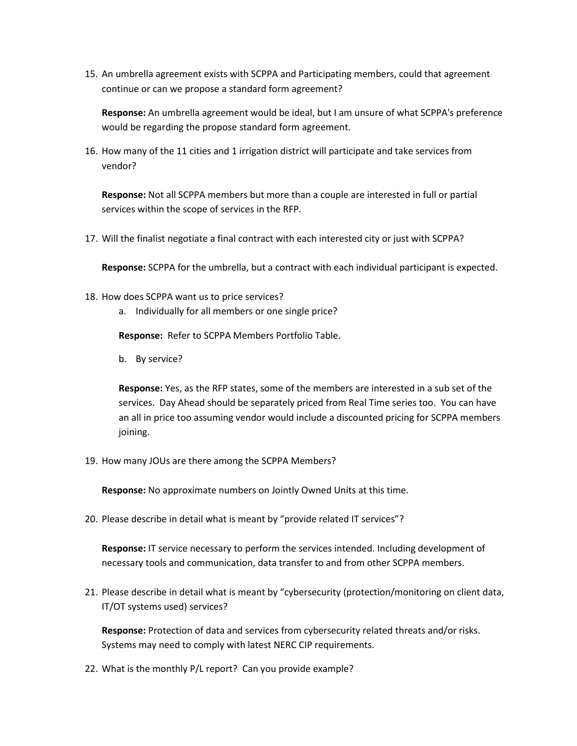15. An umbrella agreement exists with SCPPA and Participating members, could that agreement continue or can we propose a standard form agreement?

**Response:** An umbrella agreement would be ideal, but I am unsure of what SCPPA's preference would be regarding the propose standard form agreement.

16. How many of the 11 cities and 1 irrigation district will participate and take services from vendor?

**Response:** Not all SCPPA members but more than a couple are interested in full or partial services within the scope of services in the RFP.

17. Will the finalist negotiate a final contract with each interested city or just with SCPPA?

**Response:** SCPPA for the umbrella, but a contract with each individual participant is expected.

- 18. How does SCPPA want us to price services?
	- a. Individually for all members or one single price?

**Response:** Refer to SCPPA Members Portfolio Table.

b. By service?

**Response:** Yes, as the RFP states, some of the members are interested in a sub set of the services. Day Ahead should be separately priced from Real Time series too. You can have an all in price too assuming vendor would include a discounted pricing for SCPPA members joining.

19. How many JOUs are there among the SCPPA Members?

**Response:** No approximate numbers on Jointly Owned Units at this time.

20. Please describe in detail what is meant by "provide related IT services"?

**Response:** IT service necessary to perform the services intended. Including development of necessary tools and communication, data transfer to and from other SCPPA members.

21. Please describe in detail what is meant by "cybersecurity (protection/monitoring on client data, IT/OT systems used) services?

**Response:** Protection of data and services from cybersecurity related threats and/or risks. Systems may need to comply with latest NERC CIP requirements.

22. What is the monthly P/L report? Can you provide example?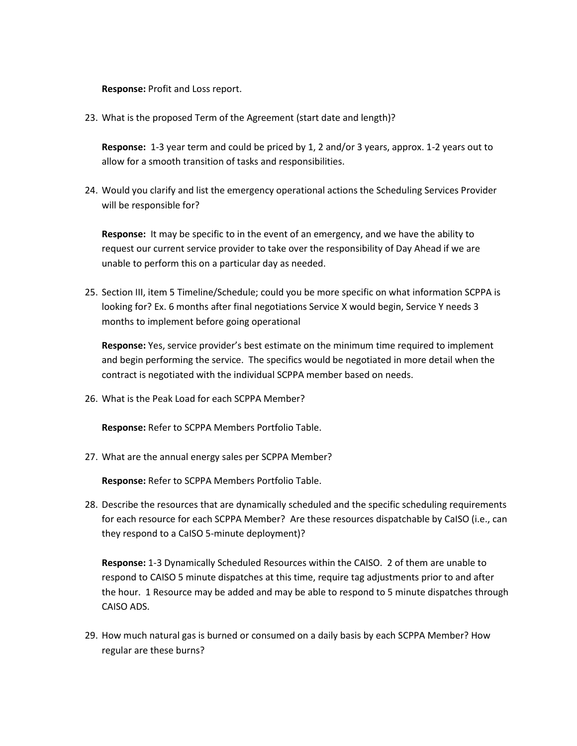**Response:** Profit and Loss report.

23. What is the proposed Term of the Agreement (start date and length)?

**Response:** 1-3 year term and could be priced by 1, 2 and/or 3 years, approx. 1-2 years out to allow for a smooth transition of tasks and responsibilities.

24. Would you clarify and list the emergency operational actions the Scheduling Services Provider will be responsible for?

**Response:** It may be specific to in the event of an emergency, and we have the ability to request our current service provider to take over the responsibility of Day Ahead if we are unable to perform this on a particular day as needed.

25. Section III, item 5 Timeline/Schedule; could you be more specific on what information SCPPA is looking for? Ex. 6 months after final negotiations Service X would begin, Service Y needs 3 months to implement before going operational

**Response:** Yes, service provider's best estimate on the minimum time required to implement and begin performing the service. The specifics would be negotiated in more detail when the contract is negotiated with the individual SCPPA member based on needs.

26. What is the Peak Load for each SCPPA Member?

**Response:** Refer to SCPPA Members Portfolio Table.

27. What are the annual energy sales per SCPPA Member?

**Response:** Refer to SCPPA Members Portfolio Table.

28. Describe the resources that are dynamically scheduled and the specific scheduling requirements for each resource for each SCPPA Member? Are these resources dispatchable by CaISO (i.e., can they respond to a CaISO 5-minute deployment)?

**Response:** 1-3 Dynamically Scheduled Resources within the CAISO. 2 of them are unable to respond to CAISO 5 minute dispatches at this time, require tag adjustments prior to and after the hour. 1 Resource may be added and may be able to respond to 5 minute dispatches through CAISO ADS.

29. How much natural gas is burned or consumed on a daily basis by each SCPPA Member? How regular are these burns?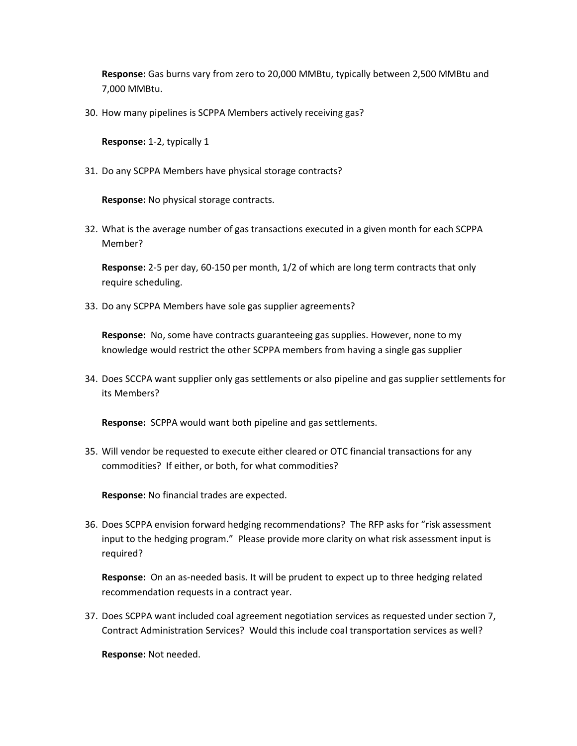**Response:** Gas burns vary from zero to 20,000 MMBtu, typically between 2,500 MMBtu and 7,000 MMBtu.

30. How many pipelines is SCPPA Members actively receiving gas?

**Response:** 1-2, typically 1

31. Do any SCPPA Members have physical storage contracts?

**Response:** No physical storage contracts.

32. What is the average number of gas transactions executed in a given month for each SCPPA Member?

**Response:** 2-5 per day, 60-150 per month, 1/2 of which are long term contracts that only require scheduling.

33. Do any SCPPA Members have sole gas supplier agreements?

**Response:** No, some have contracts guaranteeing gas supplies. However, none to my knowledge would restrict the other SCPPA members from having a single gas supplier

34. Does SCCPA want supplier only gas settlements or also pipeline and gas supplier settlements for its Members?

**Response:** SCPPA would want both pipeline and gas settlements.

35. Will vendor be requested to execute either cleared or OTC financial transactions for any commodities? If either, or both, for what commodities?

**Response:** No financial trades are expected.

36. Does SCPPA envision forward hedging recommendations? The RFP asks for "risk assessment input to the hedging program." Please provide more clarity on what risk assessment input is required?

**Response:** On an as-needed basis. It will be prudent to expect up to three hedging related recommendation requests in a contract year.

37. Does SCPPA want included coal agreement negotiation services as requested under section 7, Contract Administration Services? Would this include coal transportation services as well?

**Response:** Not needed.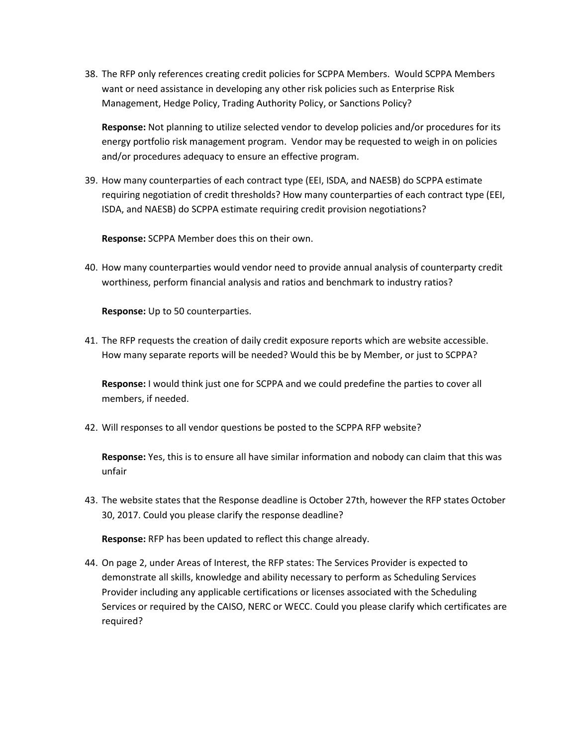38. The RFP only references creating credit policies for SCPPA Members. Would SCPPA Members want or need assistance in developing any other risk policies such as Enterprise Risk Management, Hedge Policy, Trading Authority Policy, or Sanctions Policy?

**Response:** Not planning to utilize selected vendor to develop policies and/or procedures for its energy portfolio risk management program. Vendor may be requested to weigh in on policies and/or procedures adequacy to ensure an effective program.

39. How many counterparties of each contract type (EEI, ISDA, and NAESB) do SCPPA estimate requiring negotiation of credit thresholds? How many counterparties of each contract type (EEI, ISDA, and NAESB) do SCPPA estimate requiring credit provision negotiations?

**Response:** SCPPA Member does this on their own.

40. How many counterparties would vendor need to provide annual analysis of counterparty credit worthiness, perform financial analysis and ratios and benchmark to industry ratios?

**Response:** Up to 50 counterparties.

41. The RFP requests the creation of daily credit exposure reports which are website accessible. How many separate reports will be needed? Would this be by Member, or just to SCPPA?

**Response:** I would think just one for SCPPA and we could predefine the parties to cover all members, if needed.

42. Will responses to all vendor questions be posted to the SCPPA RFP website?

**Response:** Yes, this is to ensure all have similar information and nobody can claim that this was unfair

43. The website states that the Response deadline is October 27th, however the RFP states October 30, 2017. Could you please clarify the response deadline?

**Response:** RFP has been updated to reflect this change already.

44. On page 2, under Areas of Interest, the RFP states: The Services Provider is expected to demonstrate all skills, knowledge and ability necessary to perform as Scheduling Services Provider including any applicable certifications or licenses associated with the Scheduling Services or required by the CAISO, NERC or WECC. Could you please clarify which certificates are required?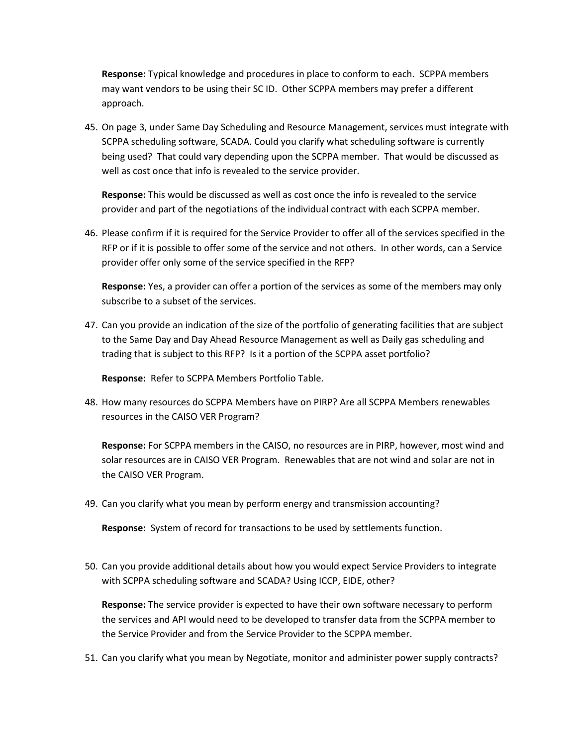**Response:** Typical knowledge and procedures in place to conform to each. SCPPA members may want vendors to be using their SC ID. Other SCPPA members may prefer a different approach.

45. On page 3, under Same Day Scheduling and Resource Management, services must integrate with SCPPA scheduling software, SCADA. Could you clarify what scheduling software is currently being used? That could vary depending upon the SCPPA member. That would be discussed as well as cost once that info is revealed to the service provider.

**Response:** This would be discussed as well as cost once the info is revealed to the service provider and part of the negotiations of the individual contract with each SCPPA member.

46. Please confirm if it is required for the Service Provider to offer all of the services specified in the RFP or if it is possible to offer some of the service and not others. In other words, can a Service provider offer only some of the service specified in the RFP?

**Response:** Yes, a provider can offer a portion of the services as some of the members may only subscribe to a subset of the services.

47. Can you provide an indication of the size of the portfolio of generating facilities that are subject to the Same Day and Day Ahead Resource Management as well as Daily gas scheduling and trading that is subject to this RFP? Is it a portion of the SCPPA asset portfolio?

**Response:** Refer to SCPPA Members Portfolio Table.

48. How many resources do SCPPA Members have on PIRP? Are all SCPPA Members renewables resources in the CAISO VER Program?

**Response:** For SCPPA members in the CAISO, no resources are in PIRP, however, most wind and solar resources are in CAISO VER Program. Renewables that are not wind and solar are not in the CAISO VER Program.

49. Can you clarify what you mean by perform energy and transmission accounting?

**Response:** System of record for transactions to be used by settlements function.

50. Can you provide additional details about how you would expect Service Providers to integrate with SCPPA scheduling software and SCADA? Using ICCP, EIDE, other?

**Response:** The service provider is expected to have their own software necessary to perform the services and API would need to be developed to transfer data from the SCPPA member to the Service Provider and from the Service Provider to the SCPPA member.

51. Can you clarify what you mean by Negotiate, monitor and administer power supply contracts?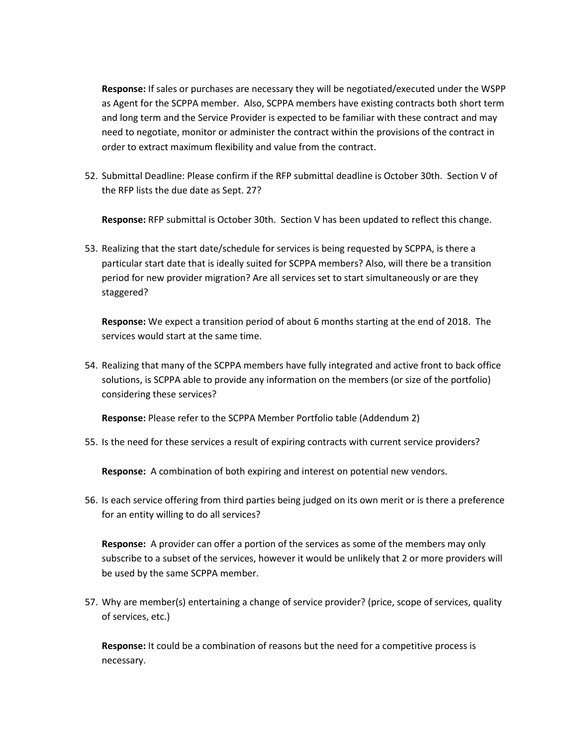**Response:** If sales or purchases are necessary they will be negotiated/executed under the WSPP as Agent for the SCPPA member. Also, SCPPA members have existing contracts both short term and long term and the Service Provider is expected to be familiar with these contract and may need to negotiate, monitor or administer the contract within the provisions of the contract in order to extract maximum flexibility and value from the contract.

52. Submittal Deadline: Please confirm if the RFP submittal deadline is October 30th. Section V of the RFP lists the due date as Sept. 27?

**Response:** RFP submittal is October 30th. Section V has been updated to reflect this change.

53. Realizing that the start date/schedule for services is being requested by SCPPA, is there a particular start date that is ideally suited for SCPPA members? Also, will there be a transition period for new provider migration? Are all services set to start simultaneously or are they staggered?

**Response:** We expect a transition period of about 6 months starting at the end of 2018. The services would start at the same time.

54. Realizing that many of the SCPPA members have fully integrated and active front to back office solutions, is SCPPA able to provide any information on the members (or size of the portfolio) considering these services?

**Response:** Please refer to the SCPPA Member Portfolio table (Addendum 2)

55. Is the need for these services a result of expiring contracts with current service providers?

**Response:** A combination of both expiring and interest on potential new vendors.

56. Is each service offering from third parties being judged on its own merit or is there a preference for an entity willing to do all services?

**Response:** A provider can offer a portion of the services as some of the members may only subscribe to a subset of the services, however it would be unlikely that 2 or more providers will be used by the same SCPPA member.

57. Why are member(s) entertaining a change of service provider? (price, scope of services, quality of services, etc.)

**Response:** It could be a combination of reasons but the need for a competitive process is necessary.